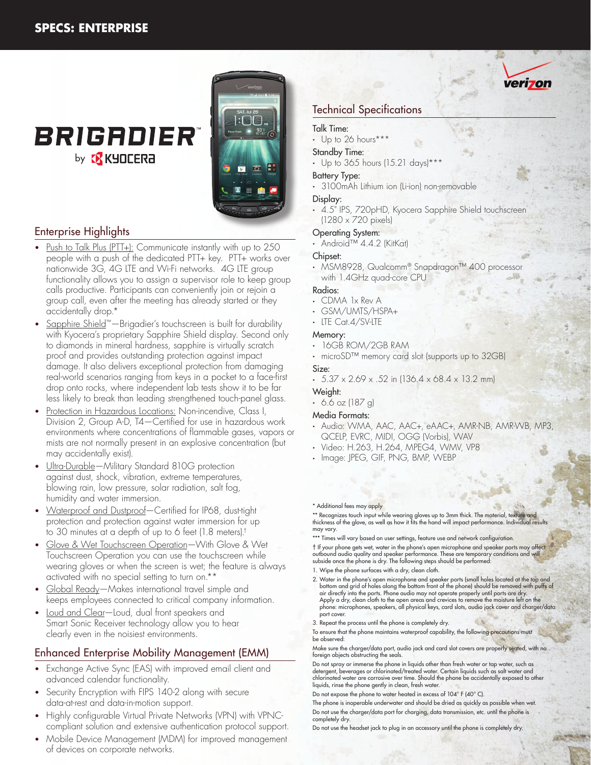## **BRIGADIER** by **B** KYOCERA



## Enterprise Highlights

- Push to Talk Plus (PTT+): Communicate instantly with up to 250 people with a push of the dedicated PTT+ key. PTT+ works over nationwide 3G, 4G LTE and Wi-Fi networks. 4G LTE group functionality allows you to assign a supervisor role to keep group calls productive. Participants can conveniently join or rejoin a group call, even after the meeting has already started or they accidentally drop.\*
- Sapphire Shield™—Brigadier's touchscreen is built for durability with Kyocera's proprietary Sapphire Shield display. Second only to diamonds in mineral hardness, sapphire is virtually scratch proof and provides outstanding protection against impact damage. It also delivers exceptional protection from damaging real-world scenarios ranging from keys in a pocket to a face-first drop onto rocks, where independent lab tests show it to be far less likely to break than leading strengthened touch-panel glass.
- Protection in Hazardous Locations: Non-incendive, Class I, Division 2, Group A-D, T4—Certified for use in hazardous work environments where concentrations of flammable gases, vapors or mists are not normally present in an explosive concentration (but may accidentally exist).
- Ultra-Durable—Military Standard 810G protection against dust, shock, vibration, extreme temperatures, blowing rain, low pressure, solar radiation, salt fog, humidity and water immersion.
- Waterproof and Dustproof-Certified for IP68, dust-tight protection and protection against water immersion for up to 30 minutes at a depth of up to 6 feet (1.8 meters).†
- Glove & Wet Touchscreen Operation-With Glove & Wet Touchscreen Operation you can use the touchscreen while wearing gloves or when the screen is wet; the feature is always activated with no special setting to turn on.\*\*
- Global Ready—Makes international travel simple and keeps employees connected to critical company information.
- Loud and Clear-Loud, dual front speakers and Smart Sonic Receiver technology allow you to hear clearly even in the noisiest environments.

### Enhanced Enterprise Mobility Management (EMM)

- Exchange Active Sync (EAS) with improved email client and advanced calendar functionality.
- Security Encryption with FIPS 140-2 along with secure data-at-rest and data-in-motion support.
- Highly configurable Virtual Private Networks (VPN) with VPNCcompliant solution and extensive authentication protocol support.
- Mobile Device Management (MDM) for improved management of devices on corporate networks.

## Technical Specifications

#### Talk Time:

• Up to 26 hours\*\*\*

#### Standby Time:

• Up to 365 hours (15.21 days)\*\*\*

#### Battery Type:

• 3100mAh Lithium ion (Li-ion) non-removable

#### Display:

• 4.5" IPS, 720pHD, Kyocera Sapphire Shield touchscreen (1280 x 720 pixels)

#### Operating System:

• Android™ 4.4.2 (KitKat)

#### Chipset:

• MSM8928, Qualcomm® Snapdragon™ 400 processor with 1.4GHz quad-core CPU

#### Radios:

- CDMA 1x Rev A
- GSM/UMTS/HSPA+
- LTE Cat.4/SV-LTE

## Memory:

- 16GB ROM/2GB RAM
- microSD™ memory card slot (supports up to 32GB) Size:

#### $\cdot$  5.37 x 2.69 x .52 in (136.4 x 68.4 x 13.2 mm)

#### Weight:

 $-6.6$  oz (187 g)

#### Media Formats:

- Audio: WMA, AAC, AAC+, eAAC+, AMR-NB, AMR-WB, MP3, QCELP, EVRC, MIDI, OGG (Vorbis), WAV
- Video: H.263, H.264, MPEG4, WMV, VP8
- Image: JPEG, GIF, PNG, BMP, WEBP

#### \* Additional fees may apply

\*\* Recognizes touch input while wearing gloves up to 3mm thick. The material, texture and thickness of the glove, as well as how it fits the hand will impact performance. Individual results may vary.

\*\*\* Times will vary based on user settings, feature use and network configuration. † If your phone gets wet, water in the phone's open microphone and speaker ports may affect outbound audio quality and speaker performance. These are temporary conditions and will subside once the phone is dry. The following steps should be performed:

- 1. Wipe the phone surfaces with a dry, clean cloth.
- 2. Water in the phone's open microphone and speaker ports (small holes located at the top and bottom and grid of holes along the bottom front of the phone) should be removed with puffs of air directly into the ports. Phone audio may not operate properly until ports are dry. Apply a dry, clean cloth to the open areas and crevices to remove the moisture left on the phone: microphones, speakers, all physical keys, card slots, audio jack cover and charger/data port cover.
- 3. Repeat the process until the phone is completely dry.
- To ensure that the phone maintains waterproof capability, the following precautions must be observed:

Make sure the charger/data port, audio jack and card slot covers are properly seated, with no foreign objects obstructing the seals.

Do not spray or immerse the phone in liquids other than fresh water or tap water, such as detergent, beverages or chlorinated/treated water. Certain liquids such as salt water and chlorinated water are corrosive over time. Should the phone be accidentally exposed to other liquids, rinse the phone gently in clean, fresh water.

Do not expose the phone to water heated in excess of 104° F (40° C).

The phone is inoperable underwater and should be dried as quickly as possible when wet. Do not use the charger/data port for charging, data transmission, etc. until the phone is completely dry.

Do not use the headset jack to plug in an accessory until the phone is completely dry.